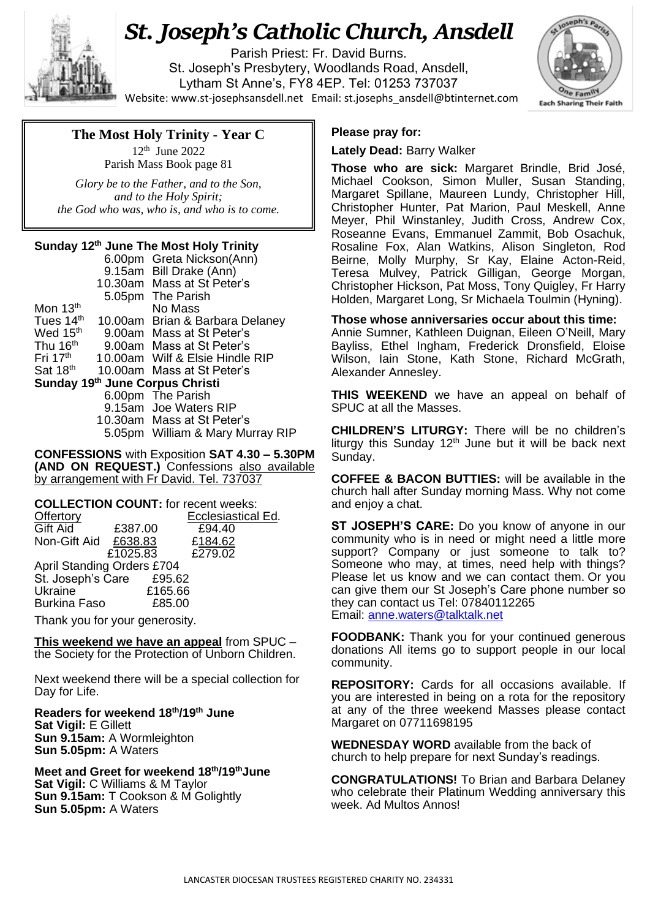

# *St. Joseph's Catholic Church, Ansdell*

Parish Priest: Fr. David Burns. St. Joseph's Presbytery, Woodlands Road, Ansdell, Lytham St Anne's, FY8 4EP. Tel: 01253 737037 Website[: www.st-josephsansdell.net](http://www.st-josephsansdell.net/) Email: [st.josephs\\_ansdell@btinternet.com](mailto:st.josephs_ansdell@btinternet.com)



## **The Most Holy Trinity - Year C**

 $12^{th}$  June 2022 Parish Mass Book page 81

j *Glory be to the Father, and to the Son, and to the Holy Spirit; the God who was, who is, and who is to come.*

### **Sunday 12th June The Most Holy Trinity**

|                                 |  | 6.00pm Greta Nickson(Ann)        |  |  |
|---------------------------------|--|----------------------------------|--|--|
|                                 |  | 9.15am Bill Drake (Ann)          |  |  |
|                                 |  | 10.30am Mass at St Peter's       |  |  |
|                                 |  | 5.05pm The Parish                |  |  |
| Mon 13 <sup>th</sup>            |  | No Mass                          |  |  |
| Tues 14 <sup>th</sup>           |  | 10.00am Brian & Barbara Delaney  |  |  |
| Wed 15 <sup>th</sup>            |  | 9.00am Mass at St Peter's        |  |  |
| Thu 16 <sup>th</sup>            |  | 9.00am Mass at St Peter's        |  |  |
| Fri 17 <sup>th</sup>            |  | 10.00am Wilf & Elsie Hindle RIP  |  |  |
| Sat 18 <sup>th</sup>            |  | 10.00am Mass at St Peter's       |  |  |
| Sunday 19th June Corpus Christi |  |                                  |  |  |
|                                 |  | 6.00pm The Parish                |  |  |
|                                 |  | 9.15am Joe Waters RIP            |  |  |
|                                 |  | 10.30am Mass at St Peter's       |  |  |
|                                 |  | 5.05pm William & Mary Murray RIP |  |  |

**CONFESSIONS** with Exposition **SAT 4.30 – 5.30PM (AND ON REQUEST.)** Confessions also available by arrangement with Fr David. Tel. 737037

| <b>COLLECTION COUNT:</b> for recent weeks: |          |                    |  |  |  |
|--------------------------------------------|----------|--------------------|--|--|--|
| Offertory                                  |          | Ecclesiastical Ed. |  |  |  |
| <b>Gift Aid</b>                            | £387.00  | £94.40             |  |  |  |
| Non-Gift Aid £638.83                       |          | £184.62            |  |  |  |
|                                            | £1025.83 | £279.02            |  |  |  |
| <b>April Standing Orders £704</b>          |          |                    |  |  |  |
| St. Joseph's Care £95.62                   |          |                    |  |  |  |
| Ukraine                                    | £165.66  |                    |  |  |  |
| <b>Burkina Faso</b>                        | £85.00   |                    |  |  |  |

Thank you for your generosity.

**This weekend we have an appeal** from SPUC – the Society for the Protection of Unborn Children.

Next weekend there will be a special collection for Day for Life.

**Readers for weekend 18th/19th June Sat Vigil:** E Gillett **Sun 9.15am:** A Wormleighton **Sun 5.05pm:** A Waters

#### **Meet and Greet for weekend 18 th/19thJune Sat Vigil:** C Williams & M Taylor **Sun 9.15am:** T Cookson & M Golightly **Sun 5.05pm:** A Waters

#### **Please pray for:**

**Lately Dead:** Barry Walker

**Those who are sick:** Margaret Brindle, Brid José, Michael Cookson, Simon Muller, Susan Standing, Margaret Spillane, Maureen Lundy, Christopher Hill, Christopher Hunter, Pat Marion, Paul Meskell, Anne Meyer, Phil Winstanley, Judith Cross, Andrew Cox, Roseanne Evans, Emmanuel Zammit, Bob Osachuk, Rosaline Fox, Alan Watkins, Alison Singleton, Rod Beirne, Molly Murphy, Sr Kay, Elaine Acton-Reid, Teresa Mulvey, Patrick Gilligan, George Morgan, Christopher Hickson, Pat Moss, Tony Quigley, Fr Harry Holden, Margaret Long, Sr Michaela Toulmin (Hyning).

**Those whose anniversaries occur about this time:** Annie Sumner, Kathleen Duignan, Eileen O'Neill, Mary Bayliss, Ethel Ingham, Frederick Dronsfield, Eloise Wilson, Iain Stone, Kath Stone, Richard McGrath, Alexander Annesley.

**THIS WEEKEND** we have an appeal on behalf of SPUC at all the Masses.

**CHILDREN'S LITURGY:** There will be no children's liturgy this Sunday  $12<sup>th</sup>$  June but it will be back next Sunday.

**COFFEE & BACON BUTTIES:** will be available in the church hall after Sunday morning Mass. Why not come and enjoy a chat.

**ST JOSEPH'S CARE:** Do you know of anyone in our community who is in need or might need a little more support? Company or just someone to talk to? Someone who may, at times, need help with things? Please let us know and we can contact them. Or you can give them our St Joseph's Care phone number so they can contact us Tel: 07840112265 Email: [anne.waters@talktalk.net](mailto:anne.waters@talktalk.net)

**FOODBANK:** Thank you for your continued generous donations All items go to support people in our local community.

**REPOSITORY:** Cards for all occasions available. If you are interested in being on a rota for the repository at any of the three weekend Masses please contact Margaret on 07711698195

**WEDNESDAY WORD** available from the back of church to help prepare for next Sunday's readings.

**CONGRATULATIONS!** To Brian and Barbara Delaney who celebrate their Platinum Wedding anniversary this week. Ad Multos Annos!